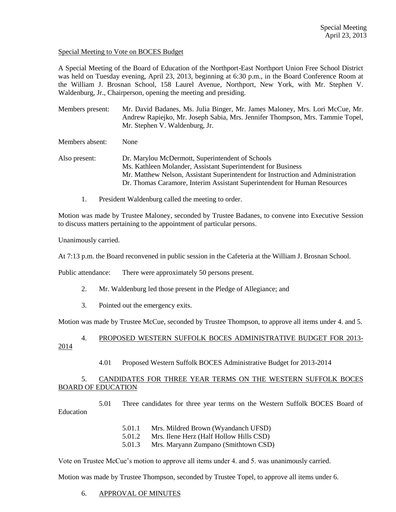Special Meeting to Vote on BOCES Budget

A Special Meeting of the Board of Education of the Northport-East Northport Union Free School District was held on Tuesday evening, April 23, 2013, beginning at 6:30 p.m., in the Board Conference Room at the William J. Brosnan School, 158 Laurel Avenue, Northport, New York, with Mr. Stephen V. Waldenburg, Jr., Chairperson, opening the meeting and presiding.

Members present: Mr. David Badanes, Ms. Julia Binger, Mr. James Maloney, Mrs. Lori McCue, Mr. Andrew Rapiejko, Mr. Joseph Sabia, Mrs. Jennifer Thompson, Mrs. Tammie Topel, Mr. Stephen V. Waldenburg, Jr.

Members absent: None

Also present: Dr. Marylou McDermott, Superintendent of Schools Ms. Kathleen Molander, Assistant Superintendent for Business Mr. Matthew Nelson, Assistant Superintendent for Instruction and Administration Dr. Thomas Caramore, Interim Assistant Superintendent for Human Resources

1. President Waldenburg called the meeting to order.

Motion was made by Trustee Maloney, seconded by Trustee Badanes, to convene into Executive Session to discuss matters pertaining to the appointment of particular persons.

Unanimously carried.

At 7:13 p.m. the Board reconvened in public session in the Cafeteria at the William J. Brosnan School.

Public attendance: There were approximately 50 persons present.

- 2. Mr. Waldenburg led those present in the Pledge of Allegiance; and
- 3. Pointed out the emergency exits.

Motion was made by Trustee McCue, seconded by Trustee Thompson, to approve all items under 4. and 5.

- 4. PROPOSED WESTERN SUFFOLK BOCES ADMINISTRATIVE BUDGET FOR 2013-
- 2014
- 4.01 Proposed Western Suffolk BOCES Administrative Budget for 2013-2014

# 5. CANDIDATES FOR THREE YEAR TERMS ON THE WESTERN SUFFOLK BOCES BOARD OF EDUCATION

5.01 Three candidates for three year terms on the Western Suffolk BOCES Board of Education

- 5.01.1 Mrs. Mildred Brown (Wyandanch UFSD)
- 5.01.2 Mrs. Ilene Herz (Half Hollow Hills CSD)
- 5.01.3 Mrs. Maryann Zumpano (Smithtown CSD)

Vote on Trustee McCue's motion to approve all items under 4. and 5. was unanimously carried.

Motion was made by Trustee Thompson, seconded by Trustee Topel, to approve all items under 6.

#### 6. APPROVAL OF MINUTES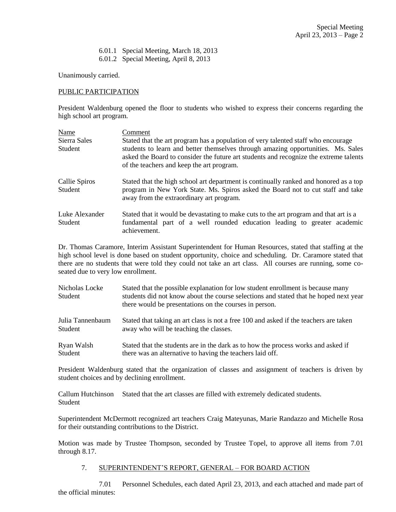6.01.1 Special Meeting, March 18, 2013 6.01.2 Special Meeting, April 8, 2013

Unanimously carried.

## PUBLIC PARTICIPATION

President Waldenburg opened the floor to students who wished to express their concerns regarding the high school art program.

| Name                      | Comment                                                                                                                                                                                                                |  |  |
|---------------------------|------------------------------------------------------------------------------------------------------------------------------------------------------------------------------------------------------------------------|--|--|
| Sierra Sales              | Stated that the art program has a population of very talented staff who encourage                                                                                                                                      |  |  |
| <b>Student</b>            | students to learn and better themselves through amazing opportunities. Ms. Sales<br>asked the Board to consider the future art students and recognize the extreme talents<br>of the teachers and keep the art program. |  |  |
| Callie Spiros<br>Student  | Stated that the high school art department is continually ranked and honored as a top<br>program in New York State. Ms. Spiros asked the Board not to cut staff and take<br>away from the extraordinary art program.   |  |  |
| Luke Alexander<br>Student | Stated that it would be devastating to make cuts to the art program and that art is a<br>fundamental part of a well rounded education leading to greater academic<br>achievement.                                      |  |  |

Dr. Thomas Caramore, Interim Assistant Superintendent for Human Resources, stated that staffing at the high school level is done based on student opportunity, choice and scheduling. Dr. Caramore stated that there are no students that were told they could not take an art class. All courses are running, some coseated due to very low enrollment.

| Nicholas Locke<br>Student | Stated that the possible explanation for low student enrollment is because many<br>students did not know about the course selections and stated that he hoped next year<br>there would be presentations on the courses in person. |  |  |
|---------------------------|-----------------------------------------------------------------------------------------------------------------------------------------------------------------------------------------------------------------------------------|--|--|
| Julia Tannenbaum          | Stated that taking an art class is not a free 100 and asked if the teachers are taken                                                                                                                                             |  |  |
| Student                   | away who will be teaching the classes.                                                                                                                                                                                            |  |  |
| Ryan Walsh                | Stated that the students are in the dark as to how the process works and asked if                                                                                                                                                 |  |  |
| Student                   | there was an alternative to having the teachers laid off.                                                                                                                                                                         |  |  |

President Waldenburg stated that the organization of classes and assignment of teachers is driven by student choices and by declining enrollment.

Callum Hutchinson Stated that the art classes are filled with extremely dedicated students. Student

Superintendent McDermott recognized art teachers Craig Mateyunas, Marie Randazzo and Michelle Rosa for their outstanding contributions to the District.

Motion was made by Trustee Thompson, seconded by Trustee Topel, to approve all items from 7.01 through 8.17.

#### 7. SUPERINTENDENT'S REPORT, GENERAL – FOR BOARD ACTION

7.01 Personnel Schedules, each dated April 23, 2013, and each attached and made part of the official minutes: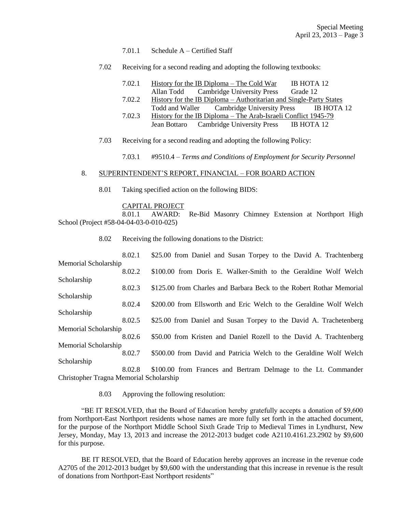#### 7.01.1 Schedule A – Certified Staff

7.02 Receiving for a second reading and adopting the following textbooks:

| 7.02.1 |            | History for the IB Diploma – The Cold War | IB HOTA 12 |
|--------|------------|-------------------------------------------|------------|
|        | Allan Todd | <b>Cambridge University Press</b>         | Grade 12   |

- 7.02.2 History for the IB Diploma Authoritarian and Single-Party States Todd and Waller Cambridge University Press IB HOTA 12
- 7.02.3 History for the IB Diploma The Arab-Israeli Conflict 1945-79 Jean Bottaro Cambridge University Press IB HOTA 12
- 7.03 Receiving for a second reading and adopting the following Policy:

7.03.1 #9510.4 – *Terms and Conditions of Employment for Security Personnel*

### 8. SUPERINTENDENT'S REPORT, FINANCIAL – FOR BOARD ACTION

8.01 Taking specified action on the following BIDS:

#### CAPITAL PROJECT

8.01.1 AWARD: Re-Bid Masonry Chimney Extension at Northport High School (Project #58-04-04-03-0-010-025)

8.02 Receiving the following donations to the District:

| 8.02.1               | \$25.00 from Daniel and Susan Torpey to the David A. Trachtenberg    |
|----------------------|----------------------------------------------------------------------|
| Memorial Scholarship |                                                                      |
| 8.02.2               | \$100.00 from Doris E. Walker-Smith to the Geraldine Wolf Welch      |
| Scholarship          |                                                                      |
| 8.02.3               | \$125.00 from Charles and Barbara Beck to the Robert Rothar Memorial |
| Scholarship          |                                                                      |
| 8.02.4               | \$200.00 from Ellsworth and Eric Welch to the Geraldine Wolf Welch   |
| Scholarship          |                                                                      |
| 8.02.5               | \$25.00 from Daniel and Susan Torpey to the David A. Trachetenberg   |
| Memorial Scholarship |                                                                      |
| 8.02.6               | \$50.00 from Kristen and Daniel Rozell to the David A. Trachtenberg  |
| Memorial Scholarship |                                                                      |
| 8.02.7               | \$500.00 from David and Patricia Welch to the Geraldine Wolf Welch   |
| Scholarship          |                                                                      |
| 8.02.8               | \$100.00 from Frances and Bertram Delmage to the Lt. Commander       |

Christopher Tragna Memorial Scholarship

8.03 Approving the following resolution:

"BE IT RESOLVED, that the Board of Education hereby gratefully accepts a donation of \$9,600 from Northport-East Northport residents whose names are more fully set forth in the attached document, for the purpose of the Northport Middle School Sixth Grade Trip to Medieval Times in Lyndhurst, New Jersey, Monday, May 13, 2013 and increase the 2012-2013 budget code A2110.4161.23.2902 by \$9,600 for this purpose.

BE IT RESOLVED, that the Board of Education hereby approves an increase in the revenue code A2705 of the 2012-2013 budget by \$9,600 with the understanding that this increase in revenue is the result of donations from Northport-East Northport residents"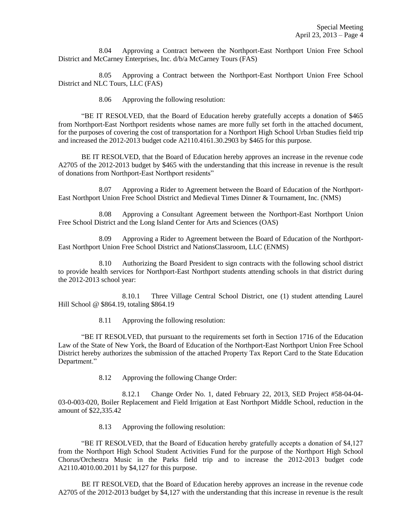8.04 Approving a Contract between the Northport-East Northport Union Free School District and McCarney Enterprises, Inc. d/b/a McCarney Tours (FAS)

8.05 Approving a Contract between the Northport-East Northport Union Free School District and NLC Tours, LLC (FAS)

8.06 Approving the following resolution:

"BE IT RESOLVED, that the Board of Education hereby gratefully accepts a donation of \$465 from Northport-East Northport residents whose names are more fully set forth in the attached document, for the purposes of covering the cost of transportation for a Northport High School Urban Studies field trip and increased the 2012-2013 budget code A2110.4161.30.2903 by \$465 for this purpose.

BE IT RESOLVED, that the Board of Education hereby approves an increase in the revenue code A2705 of the 2012-2013 budget by \$465 with the understanding that this increase in revenue is the result of donations from Northport-East Northport residents"

8.07 Approving a Rider to Agreement between the Board of Education of the Northport-East Northport Union Free School District and Medieval Times Dinner & Tournament, Inc. (NMS)

8.08 Approving a Consultant Agreement between the Northport-East Northport Union Free School District and the Long Island Center for Arts and Sciences (OAS)

8.09 Approving a Rider to Agreement between the Board of Education of the Northport-East Northport Union Free School District and NationsClassroom, LLC (ENMS)

8.10 Authorizing the Board President to sign contracts with the following school district to provide health services for Northport-East Northport students attending schools in that district during the 2012-2013 school year:

8.10.1 Three Village Central School District, one (1) student attending Laurel Hill School @ \$864.19, totaling \$864.19

8.11 Approving the following resolution:

"BE IT RESOLVED, that pursuant to the requirements set forth in Section 1716 of the Education Law of the State of New York, the Board of Education of the Northport-East Northport Union Free School District hereby authorizes the submission of the attached Property Tax Report Card to the State Education Department."

8.12 Approving the following Change Order:

8.12.1 Change Order No. 1, dated February 22, 2013, SED Project #58-04-04- 03-0-003-020, Boiler Replacement and Field Irrigation at East Northport Middle School, reduction in the amount of \$22,335.42

8.13 Approving the following resolution:

"BE IT RESOLVED, that the Board of Education hereby gratefully accepts a donation of \$4,127 from the Northport High School Student Activities Fund for the purpose of the Northport High School Chorus/Orchestra Music in the Parks field trip and to increase the 2012-2013 budget code A2110.4010.00.2011 by \$4,127 for this purpose.

BE IT RESOLVED, that the Board of Education hereby approves an increase in the revenue code A2705 of the 2012-2013 budget by \$4,127 with the understanding that this increase in revenue is the result